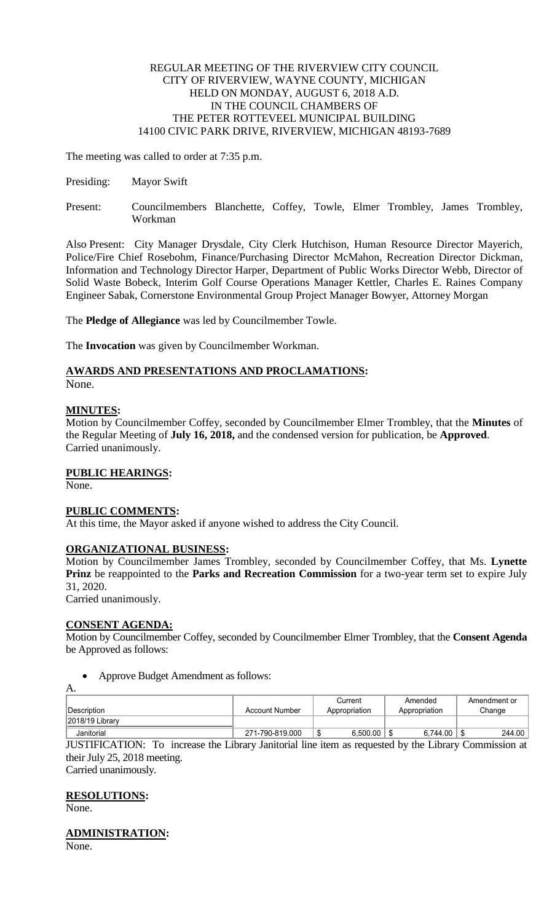## REGULAR MEETING OF THE RIVERVIEW CITY COUNCIL CITY OF RIVERVIEW, WAYNE COUNTY, MICHIGAN HELD ON MONDAY, AUGUST 6, 2018 A.D. IN THE COUNCIL CHAMBERS OF THE PETER ROTTEVEEL MUNICIPAL BUILDING 14100 CIVIC PARK DRIVE, RIVERVIEW, MICHIGAN 48193-7689

The meeting was called to order at 7:35 p.m.

- Presiding: Mayor Swift
- Present: Councilmembers Blanchette, Coffey, Towle, Elmer Trombley, James Trombley, Workman

Also Present: City Manager Drysdale, City Clerk Hutchison, Human Resource Director Mayerich, Police/Fire Chief Rosebohm, Finance/Purchasing Director McMahon, Recreation Director Dickman, Information and Technology Director Harper, Department of Public Works Director Webb, Director of Solid Waste Bobeck, Interim Golf Course Operations Manager Kettler, Charles E. Raines Company Engineer Sabak, Cornerstone Environmental Group Project Manager Bowyer, Attorney Morgan

The **Pledge of Allegiance** was led by Councilmember Towle.

The **Invocation** was given by Councilmember Workman.

# **AWARDS AND PRESENTATIONS AND PROCLAMATIONS:**

None.

## **MINUTES:**

Motion by Councilmember Coffey, seconded by Councilmember Elmer Trombley, that the **Minutes** of the Regular Meeting of **July 16, 2018,** and the condensed version for publication, be **Approved**. Carried unanimously.

## **PUBLIC HEARINGS:**

None.

## **PUBLIC COMMENTS:**

At this time, the Mayor asked if anyone wished to address the City Council.

## **ORGANIZATIONAL BUSINESS:**

Motion by Councilmember James Trombley, seconded by Councilmember Coffey, that Ms. **Lynette Prinz** be reappointed to the **Parks and Recreation Commission** for a two-year term set to expire July 31, 2020.

Carried unanimously.

#### **CONSENT AGENDA:**

Motion by Councilmember Coffey, seconded by Councilmember Elmer Trombley, that the **Consent Agenda**  be Approved as follows:

#### • Approve Budget Amendment as follows:

| Δ.               |                       |               |               |              |
|------------------|-----------------------|---------------|---------------|--------------|
|                  |                       | Current       | Amended       | Amendment or |
| Description      | <b>Account Number</b> | Appropriation | Appropriation | Change       |
| 12018/19 Library |                       |               |               |              |
| Janitorial       | 271-790-819.000       | 6.500.00      | 6,744.00      | 244.00       |

JUSTIFICATION: To increase the Library Janitorial line item as requested by the Library Commission at their July 25, 2018 meeting. Carried unanimously.

## **RESOLUTIONS:**

None.

# **ADMINISTRATION:**

None.